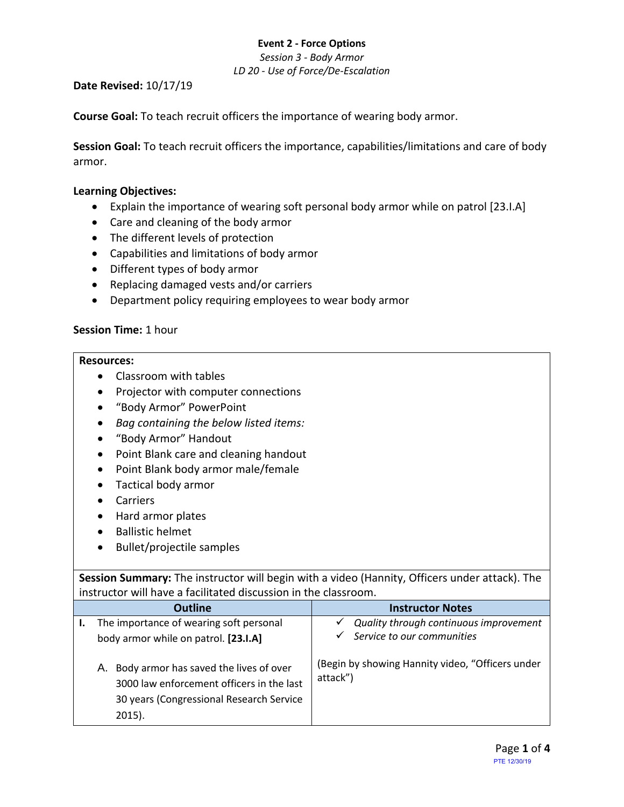*Session 3 - Body Armor LD 20 - Use of Force/De-Escalation*

#### **Date Revised:** 10/17/19

**Course Goal:** To teach recruit officers the importance of wearing body armor.

**Session Goal:** To teach recruit officers the importance, capabilities/limitations and care of body armor.

## **Learning Objectives:**

- Explain the importance of wearing soft personal body armor while on patrol [23.I.A]
- Care and cleaning of the body armor
- The different levels of protection
- Capabilities and limitations of body armor
- Different types of body armor
- Replacing damaged vests and/or carriers
- Department policy requiring employees to wear body armor

## **Session Time:** 1 hour

### **Resources:**

- Classroom with tables
- Projector with computer connections
- "Body Armor" PowerPoint
- *Bag containing the below listed items:*
- "Body Armor" Handout
- Point Blank care and cleaning handout
- Point Blank body armor male/female
- Tactical body armor
- Carriers
- Hard armor plates
- Ballistic helmet
- Bullet/projectile samples

**Session Summary:** The instructor will begin with a video (Hannity, Officers under attack). The instructor will have a facilitated discussion in the classroom.

| <b>Outline</b>                                                                                                                                     | <b>Instructor Notes</b>                                                   |
|----------------------------------------------------------------------------------------------------------------------------------------------------|---------------------------------------------------------------------------|
| The importance of wearing soft personal<br>body armor while on patrol. [23.I.A]                                                                    | Quality through continuous improvement<br>Service to our communities<br>✓ |
| Body armor has saved the lives of over<br>А.<br>3000 law enforcement officers in the last<br>30 years (Congressional Research Service<br>$2015$ ). | (Begin by showing Hannity video, "Officers under<br>attack")              |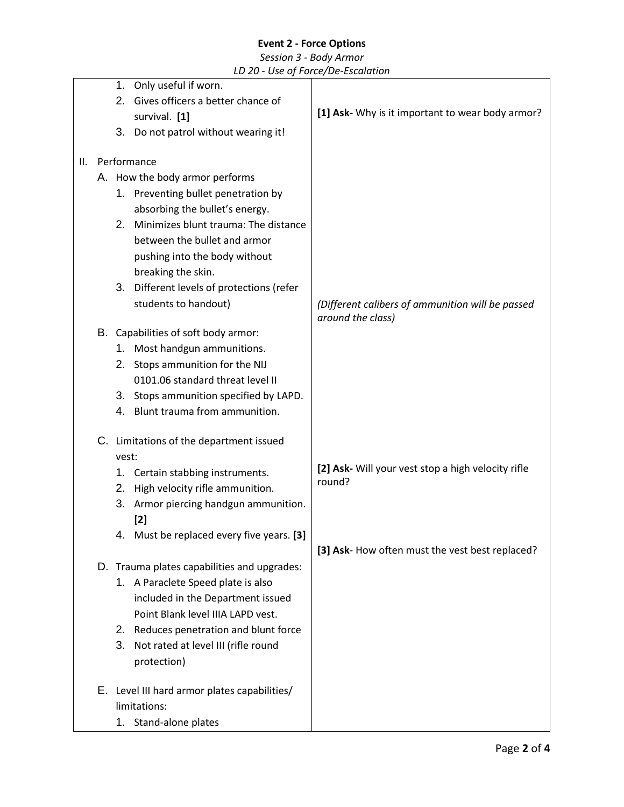#### *Session 3 - Body Armor LD 20 - Use of Force/De-Escalation*

|    |       | LD 20 - Use of Force/De-Escalation           |                                                    |
|----|-------|----------------------------------------------|----------------------------------------------------|
|    | 1.    | Only useful if worn.                         |                                                    |
|    | 2.    | Gives officers a better chance of            |                                                    |
|    |       | survival. [1]                                | [1] Ask- Why is it important to wear body armor?   |
|    |       | 3. Do not patrol without wearing it!         |                                                    |
| Ш. |       | Performance                                  |                                                    |
|    |       | A. How the body armor performs               |                                                    |
|    |       | 1. Preventing bullet penetration by          |                                                    |
|    |       | absorbing the bullet's energy.               |                                                    |
|    |       | 2. Minimizes blunt trauma: The distance      |                                                    |
|    |       | between the bullet and armor                 |                                                    |
|    |       | pushing into the body without                |                                                    |
|    |       | breaking the skin.                           |                                                    |
|    |       | 3. Different levels of protections (refer    |                                                    |
|    |       | students to handout)                         | (Different calibers of ammunition will be passed   |
|    |       |                                              | around the class)                                  |
|    |       | B. Capabilities of soft body armor:          |                                                    |
|    |       | 1. Most handgun ammunitions.                 |                                                    |
|    |       | 2. Stops ammunition for the NIJ              |                                                    |
|    |       | 0101.06 standard threat level II             |                                                    |
|    |       | 3. Stops ammunition specified by LAPD.       |                                                    |
|    |       | 4. Blunt trauma from ammunition.             |                                                    |
|    |       | C. Limitations of the department issued      |                                                    |
|    | vest: |                                              |                                                    |
|    | 1.    | Certain stabbing instruments.                | [2] Ask- Will your vest stop a high velocity rifle |
|    | 2.    | High velocity rifle ammunition.              | round?                                             |
|    | 3.    | Armor piercing handgun ammunition.           |                                                    |
|    |       | [2]                                          |                                                    |
|    |       | 4. Must be replaced every five years. [3]    |                                                    |
|    |       |                                              | [3] Ask- How often must the vest best replaced?    |
|    |       | D. Trauma plates capabilities and upgrades:  |                                                    |
|    |       | 1. A Paraclete Speed plate is also           |                                                    |
|    |       | included in the Department issued            |                                                    |
|    |       | Point Blank level IIIA LAPD vest.            |                                                    |
|    |       | 2. Reduces penetration and blunt force       |                                                    |
|    |       | 3. Not rated at level III (rifle round       |                                                    |
|    |       | protection)                                  |                                                    |
|    |       | E. Level III hard armor plates capabilities/ |                                                    |
|    |       | limitations:                                 |                                                    |
|    |       | 1. Stand-alone plates                        |                                                    |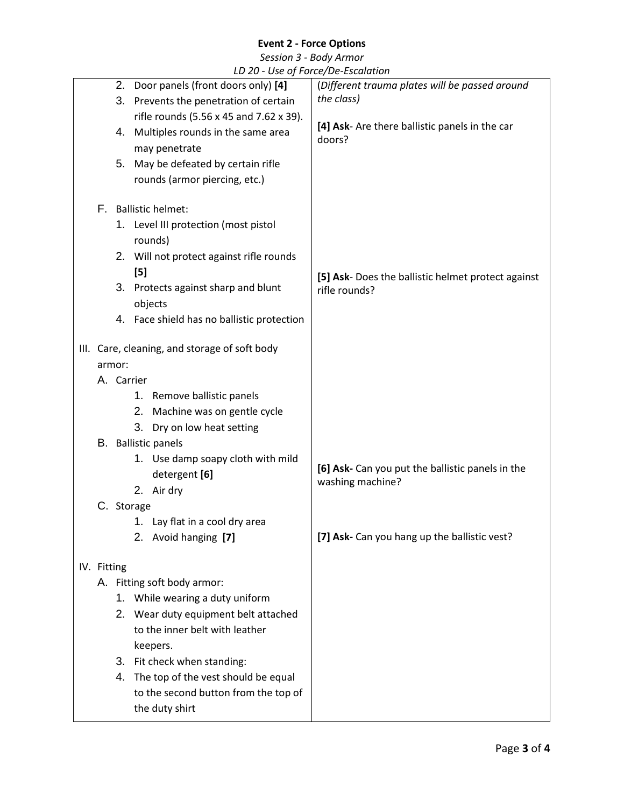*Session 3 - Body Armor*

|  |  |  |  | LD 20 - Use of Force/De-Escalation |  |  |  |
|--|--|--|--|------------------------------------|--|--|--|
|--|--|--|--|------------------------------------|--|--|--|

|  |                                                                                                                   |                                      |                                               | LD 20 - OSE OF FORCE/DE-ESCUIUTION                 |  |  |
|--|-------------------------------------------------------------------------------------------------------------------|--------------------------------------|-----------------------------------------------|----------------------------------------------------|--|--|
|  |                                                                                                                   |                                      | 2. Door panels (front doors only) [4]         | (Different trauma plates will be passed around     |  |  |
|  | 3. Prevents the penetration of certain                                                                            |                                      |                                               | the class)                                         |  |  |
|  |                                                                                                                   |                                      | rifle rounds (5.56 x 45 and 7.62 x 39).       |                                                    |  |  |
|  |                                                                                                                   | 4. Multiples rounds in the same area |                                               | [4] Ask- Are there ballistic panels in the car     |  |  |
|  |                                                                                                                   |                                      | may penetrate                                 | doors?                                             |  |  |
|  |                                                                                                                   |                                      |                                               |                                                    |  |  |
|  |                                                                                                                   |                                      | 5. May be defeated by certain rifle           |                                                    |  |  |
|  |                                                                                                                   |                                      | rounds (armor piercing, etc.)                 |                                                    |  |  |
|  | F.                                                                                                                |                                      | <b>Ballistic helmet:</b>                      |                                                    |  |  |
|  |                                                                                                                   |                                      |                                               |                                                    |  |  |
|  |                                                                                                                   |                                      | 1. Level III protection (most pistol          |                                                    |  |  |
|  |                                                                                                                   |                                      | rounds)                                       |                                                    |  |  |
|  |                                                                                                                   |                                      | 2. Will not protect against rifle rounds      |                                                    |  |  |
|  |                                                                                                                   |                                      | [5]                                           | [5] Ask- Does the ballistic helmet protect against |  |  |
|  |                                                                                                                   |                                      | 3. Protects against sharp and blunt           | rifle rounds?                                      |  |  |
|  |                                                                                                                   |                                      | objects                                       |                                                    |  |  |
|  |                                                                                                                   |                                      | 4. Face shield has no ballistic protection    |                                                    |  |  |
|  |                                                                                                                   |                                      |                                               |                                                    |  |  |
|  |                                                                                                                   |                                      | III. Care, cleaning, and storage of soft body |                                                    |  |  |
|  |                                                                                                                   | armor:                               |                                               |                                                    |  |  |
|  |                                                                                                                   | A. Carrier                           |                                               |                                                    |  |  |
|  |                                                                                                                   |                                      | 1. Remove ballistic panels                    |                                                    |  |  |
|  |                                                                                                                   |                                      | Machine was on gentle cycle<br>2.             |                                                    |  |  |
|  |                                                                                                                   |                                      | 3.                                            |                                                    |  |  |
|  |                                                                                                                   |                                      | Dry on low heat setting                       |                                                    |  |  |
|  |                                                                                                                   |                                      | B. Ballistic panels                           |                                                    |  |  |
|  |                                                                                                                   |                                      | 1. Use damp soapy cloth with mild             | [6] Ask- Can you put the ballistic panels in the   |  |  |
|  |                                                                                                                   |                                      | detergent [6]                                 | washing machine?                                   |  |  |
|  |                                                                                                                   |                                      | 2. Air dry                                    |                                                    |  |  |
|  |                                                                                                                   |                                      | C. Storage                                    |                                                    |  |  |
|  |                                                                                                                   |                                      | 1. Lay flat in a cool dry area                |                                                    |  |  |
|  |                                                                                                                   |                                      | 2. Avoid hanging [7]                          | [7] Ask- Can you hang up the ballistic vest?       |  |  |
|  |                                                                                                                   |                                      |                                               |                                                    |  |  |
|  | IV. Fitting                                                                                                       |                                      |                                               |                                                    |  |  |
|  |                                                                                                                   |                                      | A. Fitting soft body armor:                   |                                                    |  |  |
|  | 1. While wearing a duty uniform                                                                                   |                                      |                                               |                                                    |  |  |
|  | 2. Wear duty equipment belt attached<br>to the inner belt with leather<br>keepers.<br>3. Fit check when standing: |                                      |                                               |                                                    |  |  |
|  |                                                                                                                   |                                      |                                               |                                                    |  |  |
|  |                                                                                                                   |                                      |                                               |                                                    |  |  |
|  |                                                                                                                   |                                      |                                               |                                                    |  |  |
|  |                                                                                                                   |                                      |                                               |                                                    |  |  |
|  | 4. The top of the vest should be equal<br>to the second button from the top of                                    |                                      |                                               |                                                    |  |  |
|  |                                                                                                                   |                                      |                                               |                                                    |  |  |
|  |                                                                                                                   |                                      | the duty shirt                                |                                                    |  |  |
|  |                                                                                                                   |                                      |                                               |                                                    |  |  |